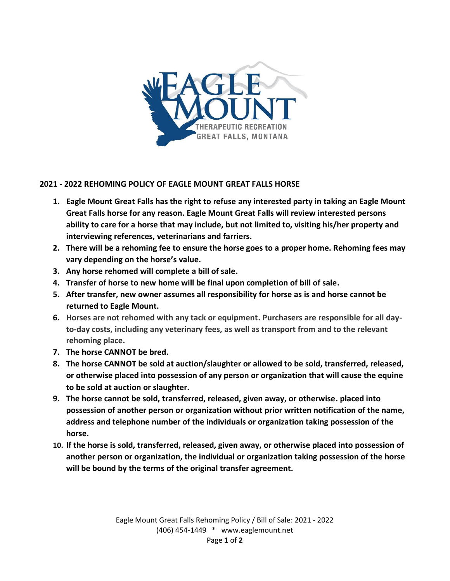

## **2021 - 2022 REHOMING POLICY OF EAGLE MOUNT GREAT FALLS HORSE**

- **1. Eagle Mount Great Falls has the right to refuse any interested party in taking an Eagle Mount Great Falls horse for any reason. Eagle Mount Great Falls will review interested persons ability to care for a horse that may include, but not limited to, visiting his/her property and interviewing references, veterinarians and farriers.**
- **2. There will be a rehoming fee to ensure the horse goes to a proper home. Rehoming fees may vary depending on the horse's value.**
- **3. Any horse rehomed will complete a bill of sale.**
- **4. Transfer of horse to new home will be final upon completion of bill of sale.**
- **5. After transfer, new owner assumes all responsibility for horse as is and horse cannot be returned to Eagle Mount.**
- **6. Horses are not rehomed with any tack or equipment. Purchasers are responsible for all dayto-day costs, including any veterinary fees, as well as transport from and to the relevant rehoming place.**
- **7. The horse CANNOT be bred.**
- **8. The horse CANNOT be sold at auction/slaughter or allowed to be sold, transferred, released, or otherwise placed into possession of any person or organization that will cause the equine to be sold at auction or slaughter.**
- **9. The horse cannot be sold, transferred, released, given away, or otherwise. placed into possession of another person or organization without prior written notification of the name, address and telephone number of the individuals or organization taking possession of the horse.**
- **10. If the horse is sold, transferred, released, given away, or otherwise placed into possession of another person or organization, the individual or organization taking possession of the horse will be bound by the terms of the original transfer agreement.**